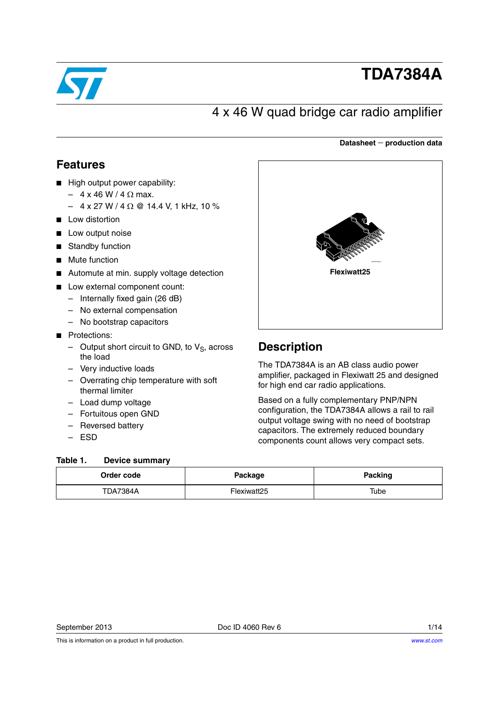

# **TDA7384A**

# 4 x 46 W quad bridge car radio amplifier

### **Datasheet production data**

## <span id="page-0-1"></span>**Features**

- High output power capability:
	- $4 \times 46 \text{ W} / 4 \Omega \text{ max.}$
	- $-4$  x 27 W / 4  $\Omega$  @ 14.4 V, 1 kHz, 10 %
- Low distortion
- Low output noise
- **Standby function**
- Mute function
- Automute at min. supply voltage detection
- Low external component count:
	- Internally fixed gain (26 dB)
	- No external compensation
	- No bootstrap capacitors
- Protections:
	- Output short circuit to GND, to  $V_S$ , across the load
	- Very inductive loads
	- Overrating chip temperature with soft thermal limiter
	- Load dump voltage
	- Fortuitous open GND
	- Reversed battery
	- ESD

#### <span id="page-0-0"></span>Table 1. **Device summary**



## **Description**

The TDA7384A is an AB class audio power amplifier, packaged in Flexiwatt 25 and designed for high end car radio applications.

Based on a fully complementary PNP/NPN configuration, the TDA7384A allows a rail to rail output voltage swing with no need of bootstrap capacitors. The extremely reduced boundary components count allows very compact sets.

| Order code      | Package     | <b>Packing</b> |
|-----------------|-------------|----------------|
| <b>TDA7384A</b> | Flexiwatt25 | Tube           |

This is information on a product in full production.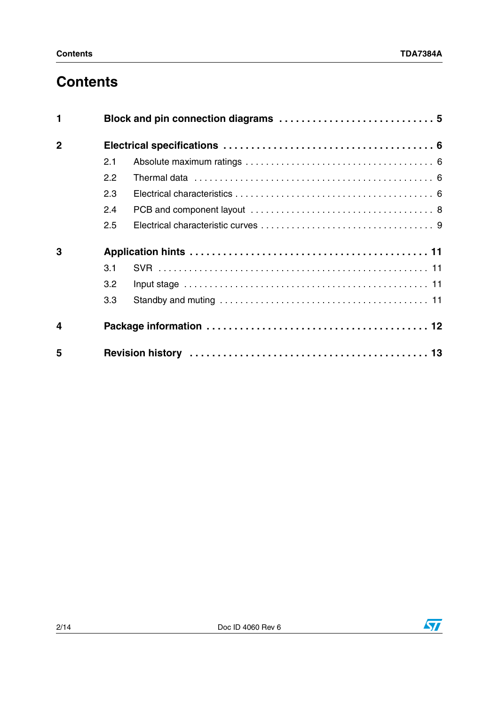# **Contents**

| 1                       |     |  |  |
|-------------------------|-----|--|--|
| $\overline{2}$          |     |  |  |
|                         | 2.1 |  |  |
|                         | 2.2 |  |  |
|                         | 2.3 |  |  |
|                         | 2.4 |  |  |
|                         | 2.5 |  |  |
| 3                       |     |  |  |
|                         | 3.1 |  |  |
|                         | 3.2 |  |  |
|                         | 3.3 |  |  |
| $\overline{\mathbf{4}}$ |     |  |  |
| 5                       |     |  |  |

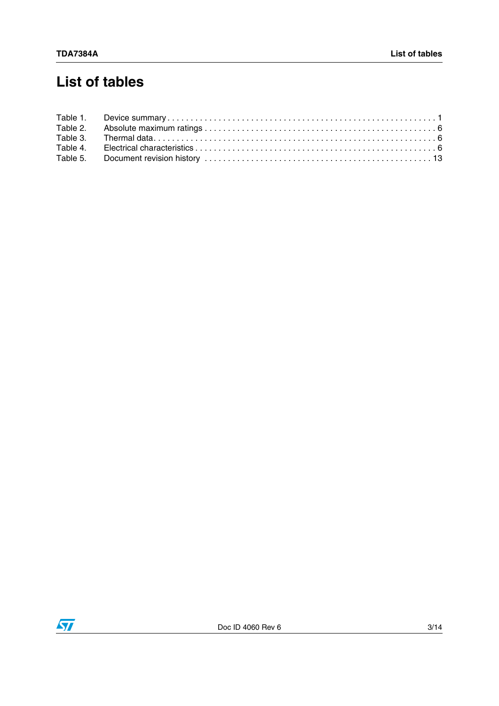# **List of tables**

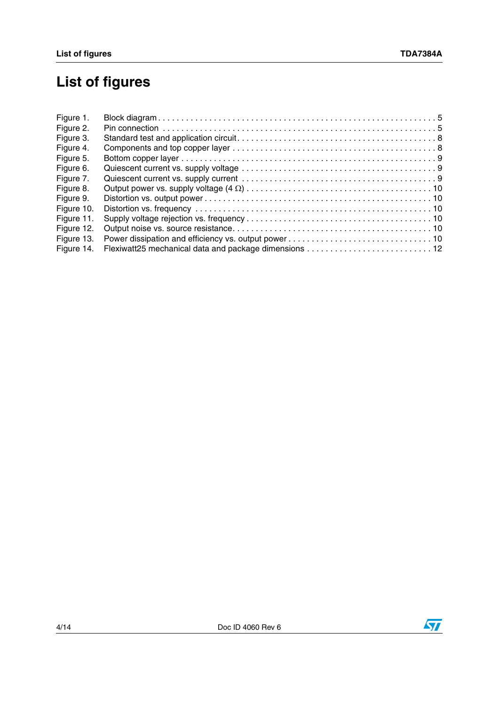# **List of figures**

| Figure 1.  |  |
|------------|--|
| Figure 2.  |  |
| Figure 3.  |  |
| Figure 4.  |  |
| Figure 5.  |  |
| Figure 6.  |  |
| Figure 7.  |  |
| Figure 8.  |  |
| Figure 9.  |  |
| Figure 10. |  |
| Figure 11. |  |
| Figure 12. |  |
| Figure 13. |  |
| Figure 14. |  |



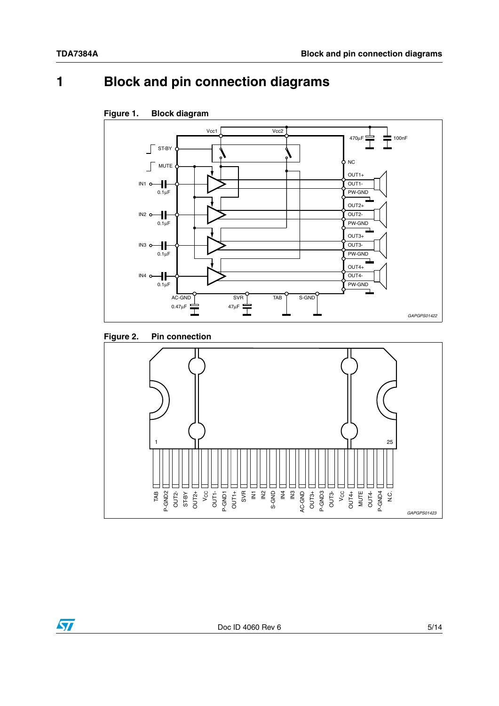# <span id="page-4-0"></span>**1 Block and pin connection diagrams**



### <span id="page-4-1"></span>**Figure 1. Block diagram**

<span id="page-4-2"></span>



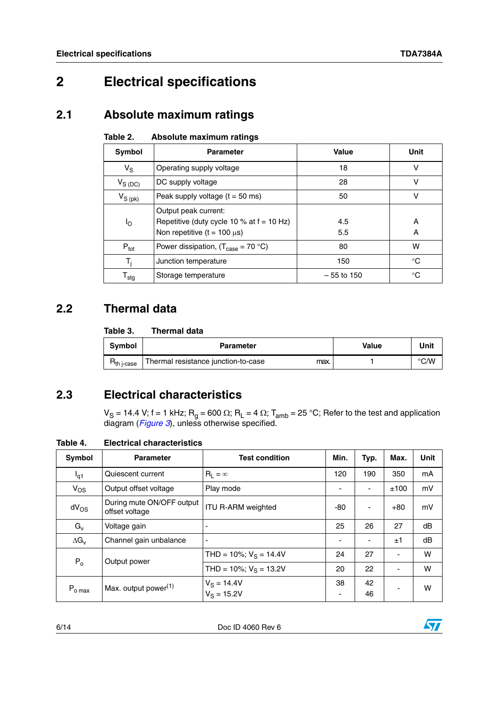# <span id="page-5-0"></span>**2 Electrical specifications**

## <span id="page-5-1"></span>**2.1 Absolute maximum ratings**

#### <span id="page-5-4"></span>Table 2. **Absolute maximum ratings**

| Symbol           | <b>Parameter</b>                                                                                          | Value        | Unit   |
|------------------|-----------------------------------------------------------------------------------------------------------|--------------|--------|
| $V_S$            | Operating supply voltage                                                                                  | 18           | v      |
| $V_{S(DC)}$      | DC supply voltage                                                                                         | 28           | v      |
| $V_{S\ (pk)}$    | Peak supply voltage $(t = 50$ ms)                                                                         | 50           | v      |
| Ιo               | Output peak current:<br>Repetitive (duty cycle 10 % at $f = 10$ Hz)<br>Non repetitive ( $t = 100 \mu s$ ) | 4.5<br>5.5   | A<br>A |
| $P_{\text{tot}}$ | Power dissipation, $(T_{\text{case}} = 70 \text{ }^{\circ}\text{C})$                                      | 80           | w      |
| T,               | Junction temperature                                                                                      | 150          | ∘C     |
| $I_{\text{stg}}$ | Storage temperature                                                                                       | $-55$ to 150 | °C     |

# <span id="page-5-2"></span>**2.2 Thermal data**

#### <span id="page-5-5"></span>Table 3. **Thermal data**

| <b>Symbol</b>         | <b>Parameter</b>                            | <b>Value</b> | Unit          |
|-----------------------|---------------------------------------------|--------------|---------------|
| h i-case <sup>-</sup> | Thermal resistance junction-to-case<br>max. |              | $\degree$ C/W |

# <span id="page-5-3"></span>**2.3 Electrical characteristics**

 $\rm V_S$  = 14.4 V; f = 1 kHz;  $\rm R_g$  = 600  $\rm \Omega;$   $\rm R_L$  = 4  $\rm \Omega;$   $\rm T_{amb}$  = 25 °C; Refer to the test and application diagram (*[Figure 3](#page-7-1)*), unless otherwise specified.

### <span id="page-5-6"></span>**Table 4. Electrical characteristics**

| Symbol              | <b>Parameter</b>                            | <b>Test condition</b>          | Min. | Typ.                     | Max.                     | <b>Unit</b> |
|---------------------|---------------------------------------------|--------------------------------|------|--------------------------|--------------------------|-------------|
| $I_{q1}$            | Quiescent current                           | $R_1 = \infty$                 | 120  | 190                      | 350                      | mA          |
| $V_{OS}$            | Output offset voltage                       | Play mode                      |      | $\overline{\phantom{a}}$ | ±100                     | mV          |
| $dV_{OS}$           | During mute ON/OFF output<br>offset voltage | <b>ITU R-ARM weighted</b>      | -80  | $\overline{\phantom{a}}$ | $+80$                    | mV          |
| $G_v$               | Voltage gain                                |                                | 25   | 26                       | 27                       | dB          |
| $\Delta G_V$        | Channel gain unbalance                      | ۰                              |      |                          | ±1                       | dB          |
| $P_0$               | Output power                                | THD = 10%; $V_S$ = 14.4V       | 24   | 27                       | $\overline{\phantom{a}}$ | W           |
|                     |                                             | THD = 10%; $V_S$ = 13.2V       | 20   | 22                       |                          | W           |
| $P_{o \text{ max}}$ | Max. output power <sup>(1)</sup>            | $V_S = 14.4V$<br>$V_S = 15.2V$ | 38   | 42<br>46                 |                          | w           |

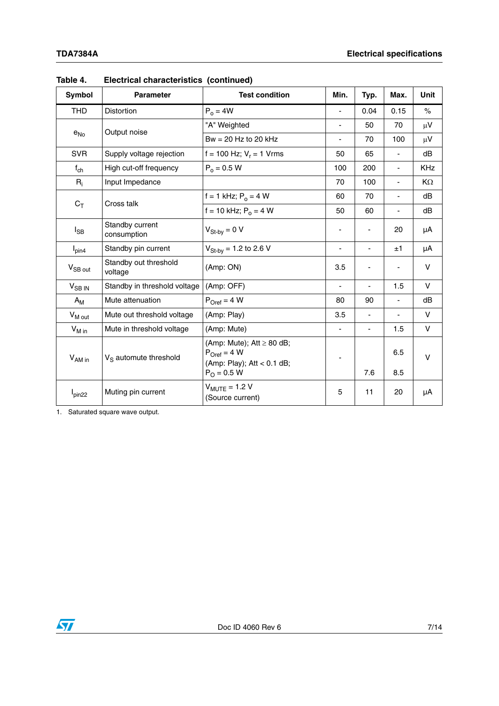| <b>Symbol</b>        | <b>Parameter</b>                  | <b>Test condition</b>                                                                                    | Min.           | Typ.                         | Max.                         | Unit          |
|----------------------|-----------------------------------|----------------------------------------------------------------------------------------------------------|----------------|------------------------------|------------------------------|---------------|
| <b>THD</b>           | Distortion                        | $P_0 = 4W$                                                                                               | ٠              | 0.04                         | 0.15                         | $\frac{1}{2}$ |
|                      |                                   | "A" Weighted                                                                                             | $\overline{a}$ | 50                           | 70                           | $\mu$ V       |
| $e_{No}$             | Output noise                      | $Bw = 20$ Hz to 20 kHz                                                                                   | $\frac{1}{2}$  | 70                           | 100                          | $\mu$ V       |
| <b>SVR</b>           | Supply voltage rejection          | f = 100 Hz; $V_r$ = 1 Vrms                                                                               | 50             | 65                           | Ξ.                           | dB            |
| $f_{ch}$             | High cut-off frequency            | $P_0 = 0.5 W$                                                                                            | 100            | 200                          | $\overline{\phantom{0}}$     | <b>KHz</b>    |
| $R_i$                | Input Impedance                   |                                                                                                          | 70             | 100                          | $\frac{1}{2}$                | KΩ            |
|                      | Cross talk                        | f = 1 kHz; $P_0 = 4 W$                                                                                   | 60             | 70                           |                              | dB            |
| $C_T$                |                                   | f = 10 kHz; $P_0 = 4 W$                                                                                  | 50             | 60                           | $\qquad \qquad \blacksquare$ | dB            |
| $I_{\mathsf{SB}}$    | Standby current<br>consumption    | $V_{St-by} = 0 V$                                                                                        |                | ä,                           | 20                           | μA            |
| $I_{pin4}$           | Standby pin current               | $V_{St-bv}$ = 1.2 to 2.6 V                                                                               | $\blacksquare$ | $\qquad \qquad \blacksquare$ | ±1                           | μA            |
| $V_{SB\,\text{out}}$ | Standby out threshold<br>voltage  | (Amp: ON)                                                                                                | 3.5            | $\overline{\phantom{m}}$     |                              | $\vee$        |
| V <sub>SB IN</sub>   | Standby in threshold voltage      | (Amp: OFF)                                                                                               |                | ÷                            | 1.5                          | $\vee$        |
| $A_{M}$              | Mute attenuation                  | $P_{Oref} = 4 W$                                                                                         | 80             | 90                           | $\blacksquare$               | dB            |
| $V_{M \text{ out}}$  | Mute out threshold voltage        | (Amp: Play)                                                                                              | 3.5            | -                            | $\overline{\phantom{0}}$     | $\vee$        |
| $V_{M}$ in           | Mute in threshold voltage         | (Amp: Mute)                                                                                              | $\blacksquare$ | $\overline{\phantom{0}}$     | 1.5                          | V             |
| V <sub>AM in</sub>   | V <sub>S</sub> automute threshold | (Amp: Mute); $Att \ge 80 dB$ ;<br>$P_{Oref} = 4 W$<br>(Amp: Play); Att < 0.1 dB;<br>$P_{\Omega} = 0.5 W$ |                | 7.6                          | 6.5<br>8.5                   | $\vee$        |
| $I_{pin22}$          | Muting pin current                | $V_{MUITF} = 1.2 V$<br>(Source current)                                                                  | 5              | 11                           | 20                           | μA            |

**Table 4. Electrical characteristics (continued)**

1. Saturated square wave output.

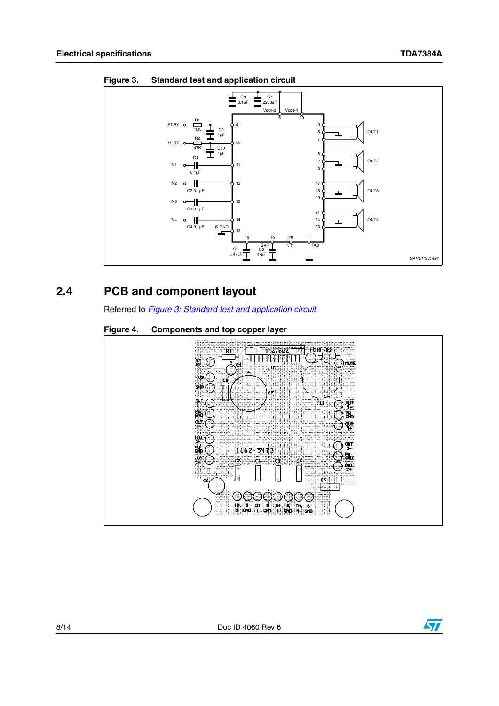

<span id="page-7-1"></span>**Figure 3. Standard test and application circuit**

## <span id="page-7-0"></span>**2.4 PCB and component layout**

Referred to *[Figure 3: Standard test and application circuit](#page-7-1)*.

<span id="page-7-2"></span>



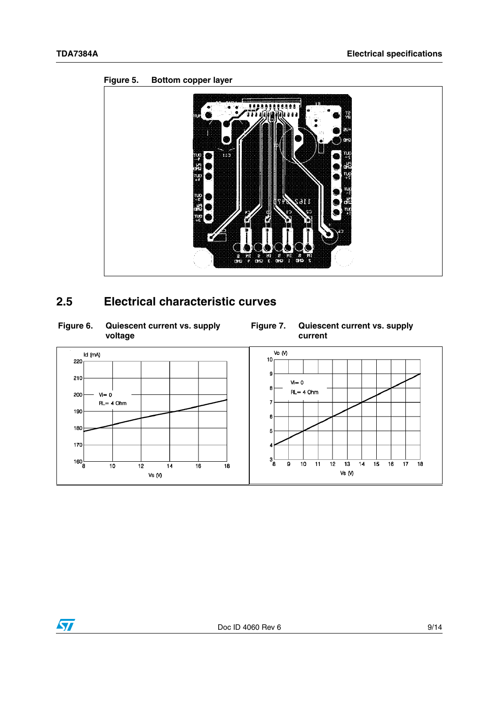

### <span id="page-8-1"></span>**Figure 5. Bottom copper layer**

# <span id="page-8-0"></span>**2.5 Electrical characteristic curves**

<span id="page-8-2"></span>

<span id="page-8-3"></span>



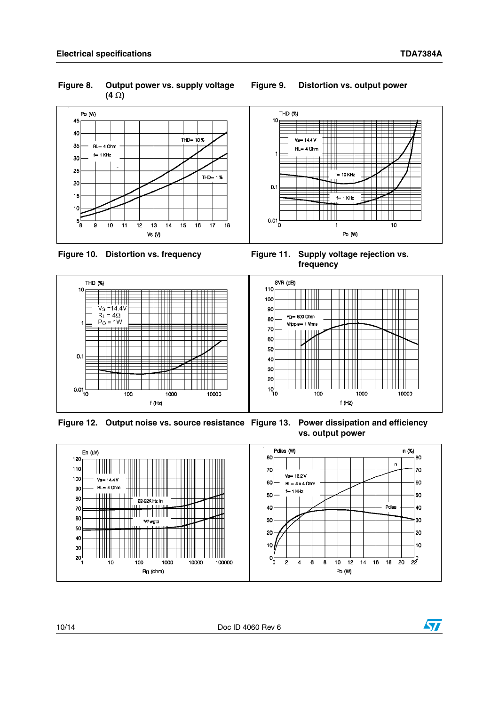<span id="page-9-0"></span>**Figure 8. Output power vs. supply voltage (4 )**



### <span id="page-9-2"></span>**Figure 10. Distortion vs. frequency**

<span id="page-9-5"></span><span id="page-9-3"></span>**Figure 11. Supply voltage rejection vs. frequency**



<span id="page-9-4"></span>**Figure 12. Output noise vs. source resistance Fower dissipation and efficiency vs. output power**



#### <span id="page-9-1"></span>**Figure 9. Distortion vs. output power**

 $\sqrt{2}$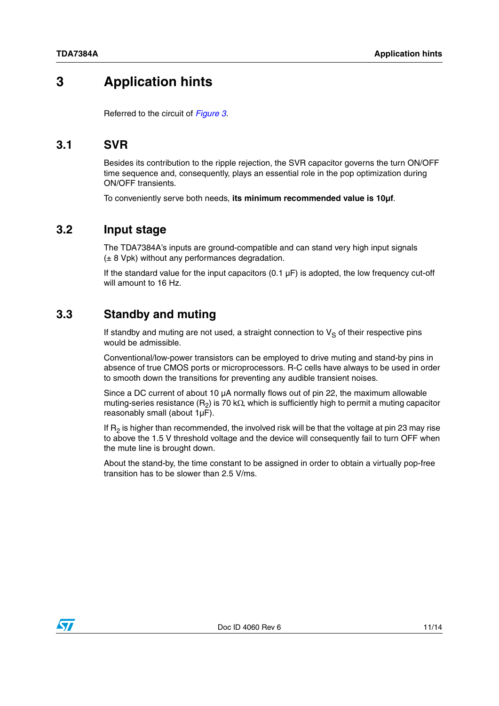# <span id="page-10-0"></span>**3 Application hints**

Referred to the circuit of *[Figure 3](#page-7-1)*.

### <span id="page-10-1"></span>**3.1 SVR**

Besides its contribution to the ripple rejection, the SVR capacitor governs the turn ON/OFF time sequence and, consequently, plays an essential role in the pop optimization during ON/OFF transients.

To conveniently serve both needs, **its minimum recommended value is 10µf**.

### <span id="page-10-2"></span>**3.2 Input stage**

The TDA7384A's inputs are ground-compatible and can stand very high input signals  $(± 8 Vpk)$  without any performances degradation.

If the standard value for the input capacitors  $(0.1 \mu F)$  is adopted, the low frequency cut-off will amount to 16 Hz.

### <span id="page-10-3"></span>**3.3 Standby and muting**

If standby and muting are not used, a straight connection to  $V_S$  of their respective pins would be admissible.

Conventional/low-power transistors can be employed to drive muting and stand-by pins in absence of true CMOS ports or microprocessors. R-C cells have always to be used in order to smooth down the transitions for preventing any audible transient noises.

Since a DC current of about 10  $\mu$ A normally flows out of pin 22, the maximum allowable muting-series resistance ( $R_2$ ) is 70 k $\Omega$ , which is sufficiently high to permit a muting capacitor reasonably small (about 1µF).

If  $R<sub>2</sub>$  is higher than recommended, the involved risk will be that the voltage at pin 23 may rise to above the 1.5 V threshold voltage and the device will consequently fail to turn OFF when the mute line is brought down.

About the stand-by, the time constant to be assigned in order to obtain a virtually pop-free transition has to be slower than 2.5 V/ms.

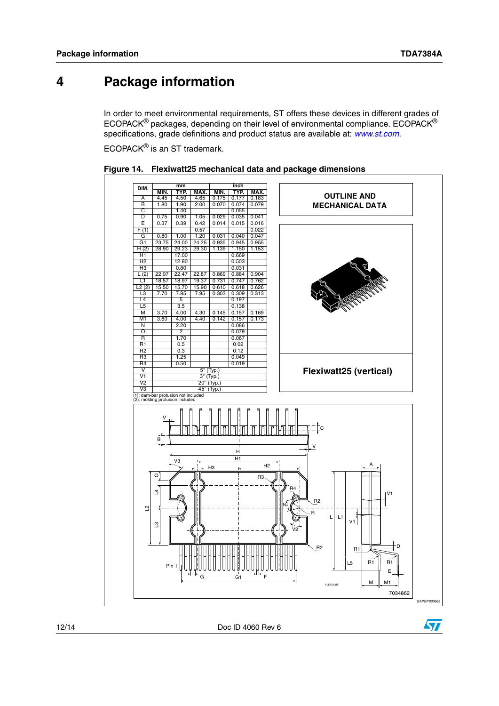$\sqrt{}$ 

# <span id="page-11-0"></span>**4 Package information**

In order to meet environmental requirements, ST offers these devices in different grades of ECOPACK® packages, depending on their level of environmental compliance. ECOPACK® specifications, grade definitions and product status are available at: *[www.st.com](http://www.st.com)*.

ECOPACK® is an ST trademark.



<span id="page-11-1"></span>**Figure 14. Flexiwatt25 mechanical data and package dimensions**

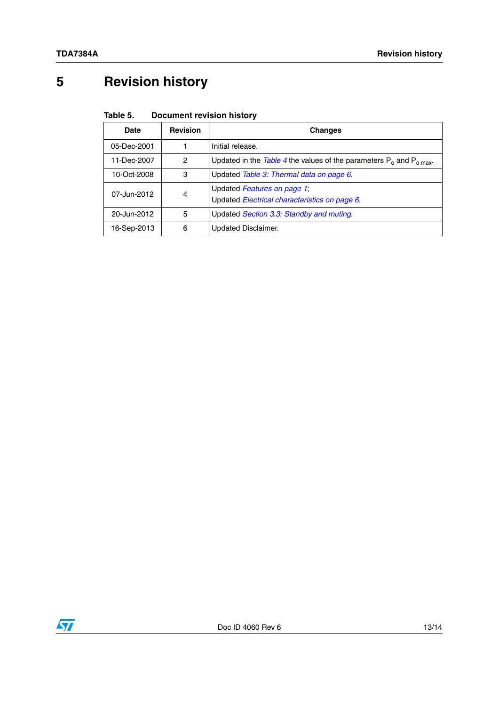# <span id="page-12-0"></span>**5 Revision history**

#### <span id="page-12-1"></span>Table 5. **Document revision history**

| Date        | <b>Revision</b> | Changes                                                                      |
|-------------|-----------------|------------------------------------------------------------------------------|
| 05-Dec-2001 |                 | Initial release.                                                             |
| 11-Dec-2007 | 2               | Updated in the Table 4 the values of the parameters $P_0$ and $P_0$ max-     |
| 10-Oct-2008 | 3               | Updated Table 3: Thermal data on page 6.                                     |
| 07-Jun-2012 | 4               | Updated Features on page 1;<br>Updated Electrical characteristics on page 6. |
| 20-Jun-2012 | 5               | Updated Section 3.3: Standby and muting.                                     |
| 16-Sep-2013 | 6               | <b>Updated Disclaimer.</b>                                                   |